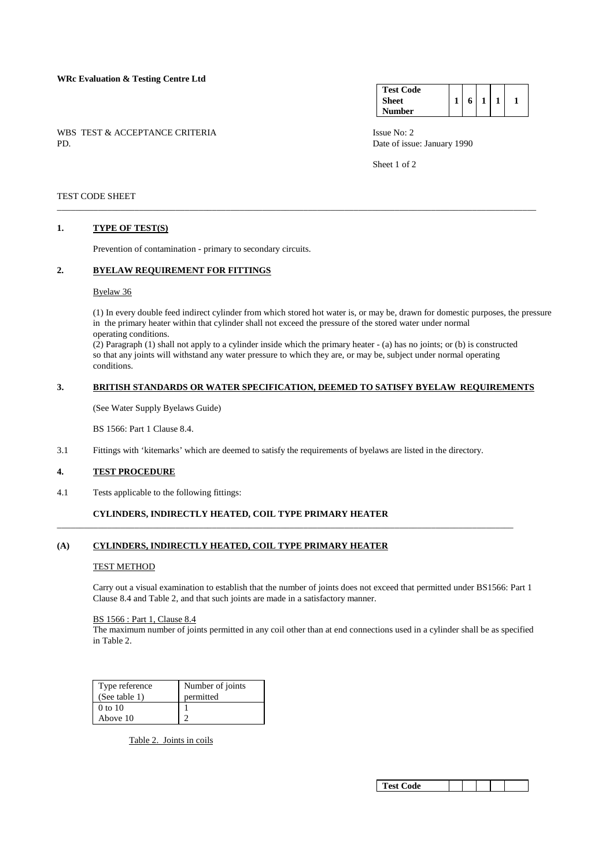## **WRc Evaluation & Testing Centre Ltd**

WBS TEST & ACCEPTANCE CRITERIA ISSUE No: 2<br>PD Date of issue

| <b>Test Code</b> |  |  |  |
|------------------|--|--|--|
| <b>Sheet</b>     |  |  |  |
| <b>Number</b>    |  |  |  |

Date of issue: January 1990

Sheet 1 of 2

## TEST CODE SHEET

## **1. TYPE OF TEST(S)**

Prevention of contamination - primary to secondary circuits.

# **2. BYELAW REQUIREMENT FOR FITTINGS**

#### Byelaw 36

 (1) In every double feed indirect cylinder from which stored hot water is, or may be, drawn for domestic purposes, the pressure in the primary heater within that cylinder shall not exceed the pressure of the stored water under normal operating conditions.

 (2) Paragraph (1) shall not apply to a cylinder inside which the primary heater - (a) has no joints; or (b) is constructed so that any joints will withstand any water pressure to which they are, or may be, subject under normal operating conditions.

\_\_\_\_\_\_\_\_\_\_\_\_\_\_\_\_\_\_\_\_\_\_\_\_\_\_\_\_\_\_\_\_\_\_\_\_\_\_\_\_\_\_\_\_\_\_\_\_\_\_\_\_\_\_\_\_\_\_\_\_\_\_\_\_\_\_\_\_\_\_\_\_\_\_\_\_\_\_\_\_\_\_\_\_\_\_\_\_\_\_\_\_\_\_\_\_\_\_\_\_\_\_\_\_\_

## **3. BRITISH STANDARDS OR WATER SPECIFICATION, DEEMED TO SATISFY BYELAW REQUIREMENTS**

(See Water Supply Byelaws Guide)

BS 1566: Part 1 Clause 8.4.

3.1 Fittings with 'kitemarks' which are deemed to satisfy the requirements of byelaws are listed in the directory.

\_\_\_\_\_\_\_\_\_\_\_\_\_\_\_\_\_\_\_\_\_\_\_\_\_\_\_\_\_\_\_\_\_\_\_\_\_\_\_\_\_\_\_\_\_\_\_\_\_\_\_\_\_\_\_\_\_\_\_\_\_\_\_\_\_\_\_\_\_\_\_\_\_\_\_\_\_\_\_\_\_\_\_\_\_\_\_\_\_\_\_\_\_\_\_\_\_\_\_\_

#### **4. TEST PROCEDURE**

4.1 Tests applicable to the following fittings:

# **CYLINDERS, INDIRECTLY HEATED, COIL TYPE PRIMARY HEATER**

# **(A) CYLINDERS, INDIRECTLY HEATED, COIL TYPE PRIMARY HEATER**

#### TEST METHOD

 Carry out a visual examination to establish that the number of joints does not exceed that permitted under BS1566: Part 1 Clause 8.4 and Table 2, and that such joints are made in a satisfactory manner.

# BS 1566 : Part 1, Clause 8.4

 The maximum number of joints permitted in any coil other than at end connections used in a cylinder shall be as specified in Table 2.

| Type reference<br>(See table 1) | Number of joints<br>permitted |
|---------------------------------|-------------------------------|
| 0 to 10<br>Above 10             |                               |

Table 2. Joints in coils

|--|